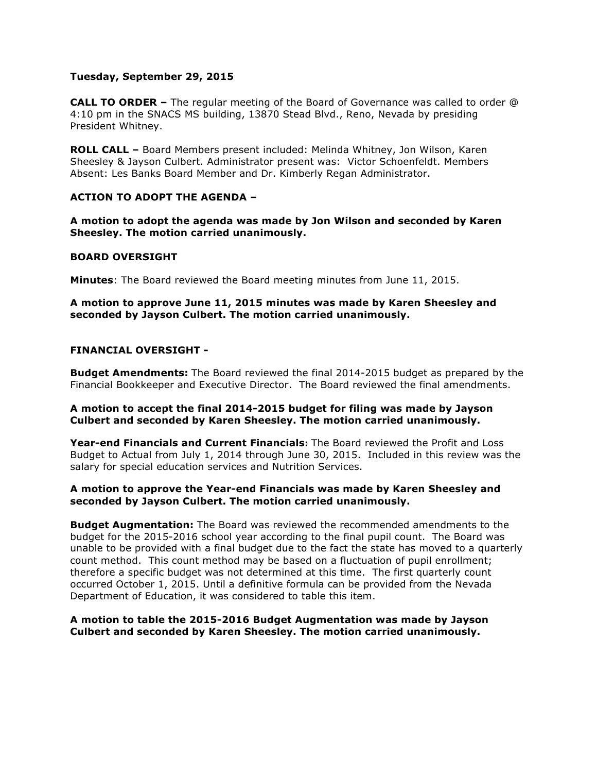## **Tuesday, September 29, 2015**

**CALL TO ORDER –** The regular meeting of the Board of Governance was called to order @ 4:10 pm in the SNACS MS building, 13870 Stead Blvd., Reno, Nevada by presiding President Whitney.

**ROLL CALL –** Board Members present included: Melinda Whitney, Jon Wilson, Karen Sheesley & Jayson Culbert. Administrator present was: Victor Schoenfeldt. Members Absent: Les Banks Board Member and Dr. Kimberly Regan Administrator.

# **ACTION TO ADOPT THE AGENDA –**

**A motion to adopt the agenda was made by Jon Wilson and seconded by Karen Sheesley. The motion carried unanimously.** 

#### **BOARD OVERSIGHT**

**Minutes**: The Board reviewed the Board meeting minutes from June 11, 2015.

**A motion to approve June 11, 2015 minutes was made by Karen Sheesley and seconded by Jayson Culbert. The motion carried unanimously.**

# **FINANCIAL OVERSIGHT -**

**Budget Amendments:** The Board reviewed the final 2014-2015 budget as prepared by the Financial Bookkeeper and Executive Director. The Board reviewed the final amendments.

#### **A motion to accept the final 2014-2015 budget for filing was made by Jayson Culbert and seconded by Karen Sheesley. The motion carried unanimously.**

**Year-end Financials and Current Financials:** The Board reviewed the Profit and Loss Budget to Actual from July 1, 2014 through June 30, 2015. Included in this review was the salary for special education services and Nutrition Services.

# **A motion to approve the Year-end Financials was made by Karen Sheesley and seconded by Jayson Culbert. The motion carried unanimously.**

**Budget Augmentation:** The Board was reviewed the recommended amendments to the budget for the 2015-2016 school year according to the final pupil count. The Board was unable to be provided with a final budget due to the fact the state has moved to a quarterly count method. This count method may be based on a fluctuation of pupil enrollment; therefore a specific budget was not determined at this time. The first quarterly count occurred October 1, 2015. Until a definitive formula can be provided from the Nevada Department of Education, it was considered to table this item.

# **A motion to table the 2015-2016 Budget Augmentation was made by Jayson Culbert and seconded by Karen Sheesley. The motion carried unanimously.**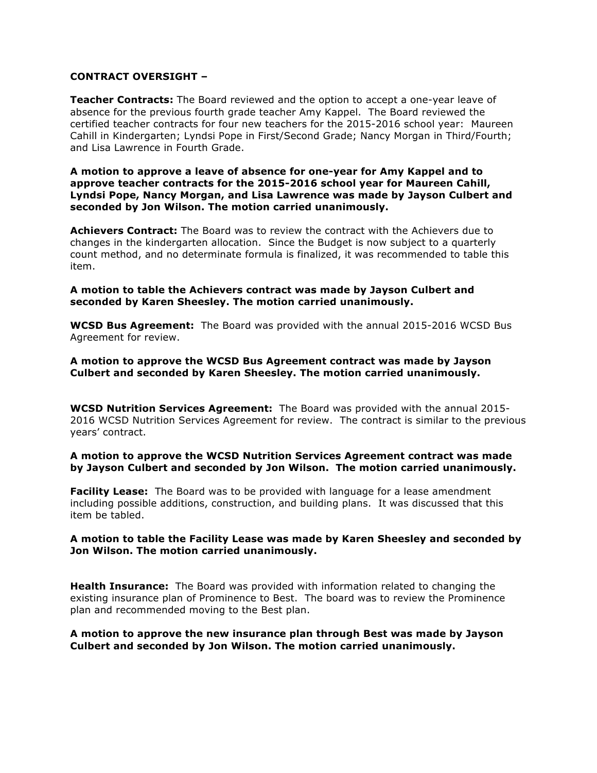## **CONTRACT OVERSIGHT –**

**Teacher Contracts:** The Board reviewed and the option to accept a one-year leave of absence for the previous fourth grade teacher Amy Kappel. The Board reviewed the certified teacher contracts for four new teachers for the 2015-2016 school year: Maureen Cahill in Kindergarten; Lyndsi Pope in First/Second Grade; Nancy Morgan in Third/Fourth; and Lisa Lawrence in Fourth Grade.

#### **A motion to approve a leave of absence for one-year for Amy Kappel and to approve teacher contracts for the 2015-2016 school year for Maureen Cahill, Lyndsi Pope, Nancy Morgan, and Lisa Lawrence was made by Jayson Culbert and seconded by Jon Wilson. The motion carried unanimously.**

**Achievers Contract:** The Board was to review the contract with the Achievers due to changes in the kindergarten allocation. Since the Budget is now subject to a quarterly count method, and no determinate formula is finalized, it was recommended to table this item.

# **A motion to table the Achievers contract was made by Jayson Culbert and seconded by Karen Sheesley. The motion carried unanimously.**

**WCSD Bus Agreement:** The Board was provided with the annual 2015-2016 WCSD Bus Agreement for review.

# **A motion to approve the WCSD Bus Agreement contract was made by Jayson Culbert and seconded by Karen Sheesley. The motion carried unanimously.**

**WCSD Nutrition Services Agreement:** The Board was provided with the annual 2015- 2016 WCSD Nutrition Services Agreement for review. The contract is similar to the previous years' contract.

# **A motion to approve the WCSD Nutrition Services Agreement contract was made by Jayson Culbert and seconded by Jon Wilson. The motion carried unanimously.**

**Facility Lease:** The Board was to be provided with language for a lease amendment including possible additions, construction, and building plans. It was discussed that this item be tabled.

# **A motion to table the Facility Lease was made by Karen Sheesley and seconded by Jon Wilson. The motion carried unanimously.**

**Health Insurance:** The Board was provided with information related to changing the existing insurance plan of Prominence to Best. The board was to review the Prominence plan and recommended moving to the Best plan.

# **A motion to approve the new insurance plan through Best was made by Jayson Culbert and seconded by Jon Wilson. The motion carried unanimously.**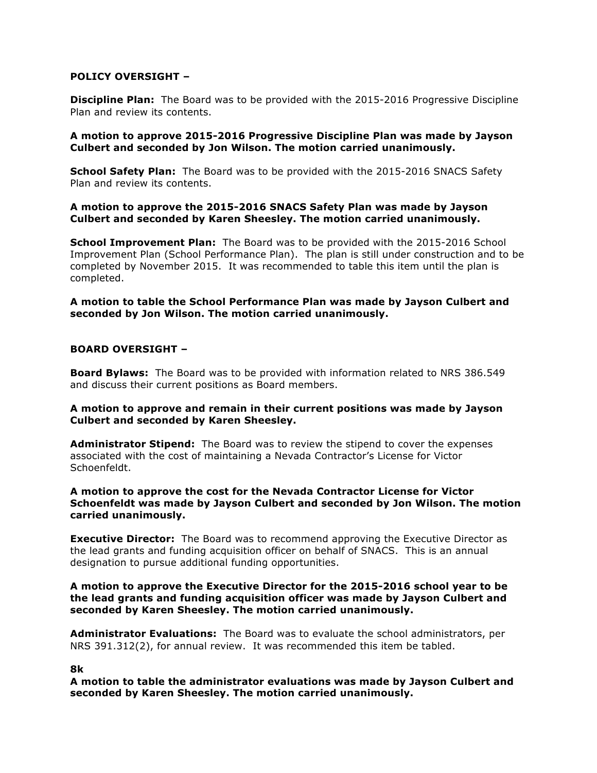# **POLICY OVERSIGHT –**

**Discipline Plan:** The Board was to be provided with the 2015-2016 Progressive Discipline Plan and review its contents.

# **A motion to approve 2015-2016 Progressive Discipline Plan was made by Jayson Culbert and seconded by Jon Wilson. The motion carried unanimously.**

**School Safety Plan:** The Board was to be provided with the 2015-2016 SNACS Safety Plan and review its contents.

# **A motion to approve the 2015-2016 SNACS Safety Plan was made by Jayson Culbert and seconded by Karen Sheesley. The motion carried unanimously.**

**School Improvement Plan:** The Board was to be provided with the 2015-2016 School Improvement Plan (School Performance Plan). The plan is still under construction and to be completed by November 2015. It was recommended to table this item until the plan is completed.

**A motion to table the School Performance Plan was made by Jayson Culbert and seconded by Jon Wilson. The motion carried unanimously.**

# **BOARD OVERSIGHT –**

**Board Bylaws:** The Board was to be provided with information related to NRS 386.549 and discuss their current positions as Board members.

# **A motion to approve and remain in their current positions was made by Jayson Culbert and seconded by Karen Sheesley.**

**Administrator Stipend:** The Board was to review the stipend to cover the expenses associated with the cost of maintaining a Nevada Contractor's License for Victor Schoenfeldt.

**A motion to approve the cost for the Nevada Contractor License for Victor Schoenfeldt was made by Jayson Culbert and seconded by Jon Wilson. The motion carried unanimously.**

**Executive Director:** The Board was to recommend approving the Executive Director as the lead grants and funding acquisition officer on behalf of SNACS. This is an annual designation to pursue additional funding opportunities.

#### **A motion to approve the Executive Director for the 2015-2016 school year to be the lead grants and funding acquisition officer was made by Jayson Culbert and seconded by Karen Sheesley. The motion carried unanimously.**

**Administrator Evaluations:** The Board was to evaluate the school administrators, per NRS 391.312(2), for annual review. It was recommended this item be tabled.

#### **8k**

**A motion to table the administrator evaluations was made by Jayson Culbert and seconded by Karen Sheesley. The motion carried unanimously.**